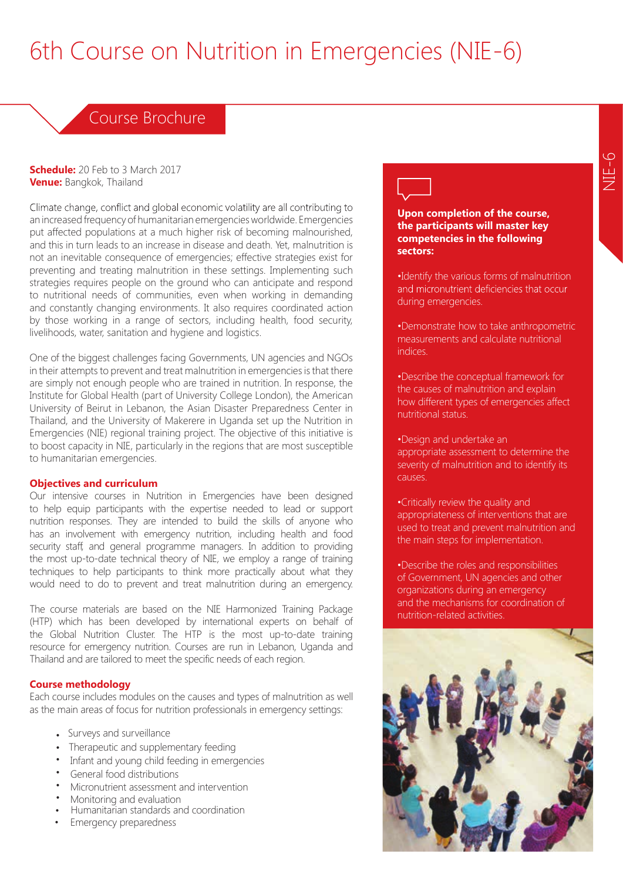# 6th Course on Nutrition in Emergencies (NIE-6)

## Course Brochure

**Schedule:** 20 Feb to 3 March 2017 **Venue:** Bangkok, Thailand

Climate change, conflict and global economic volatility are all contributing to an increased frequency of humanitarian emergencies worldwide. Emergencies put affected populations at a much higher risk of becoming malnourished, and this in turn leads to an increase in disease and death. Yet, malnutrition is not an inevitable consequence of emergencies; effective strategies exist for preventing and treating malnutrition in these settings. Implementing such strategies requires people on the ground who can anticipate and respond to nutritional needs of communities, even when working in demanding and constantly changing environments. It also requires coordinated action by those working in a range of sectors, including health, food security, livelihoods, water, sanitation and hygiene and logistics.

One of the biggest challenges facing Governments, UN agencies and NGOs in their attempts to prevent and treat malnutrition in emergencies is that there are simply not enough people who are trained in nutrition. In response, the Institute for Global Health (part of University College London), the American University of Beirut in Lebanon, the Asian Disaster Preparedness Center in Thailand, and the University of Makerere in Uganda set up the Nutrition in Emergencies (NIE) regional training project. The objective of this initiative is to boost capacity in NIE, particularly in the regions that are most susceptible to humanitarian emergencies.

#### **Objectives and curriculum**

Our intensive courses in Nutrition in Emergencies have been designed to help equip participants with the expertise needed to lead or support nutrition responses. They are intended to build the skills of anyone who has an involvement with emergency nutrition, including health and food security staff, and general programme managers. In addition to providing the most up-to-date technical theory of NIE, we employ a range of training techniques to help participants to think more practically about what they would need to do to prevent and treat malnutrition during an emergency.

The course materials are based on the NIE Harmonized Training Package (HTP) which has been developed by international experts on behalf of the Global Nutrition Cluster. The HTP is the most up-to-date training resource for emergency nutrition. Courses are run in Lebanon, Uganda and Thailand and are tailored to meet the specific needs of each region.

#### **Course methodology**

Each course includes modules on the causes and types of malnutrition as well as the main areas of focus for nutrition professionals in emergency settings:

- Surveys and surveillance
- Therapeutic and supplementary feeding
- Infant and young child feeding in emergencies
- General food distributions
- Micronutrient assessment and intervention Monitoring and evaluation
- 
- Humanitarian standards and coordination
- Emergency preparedness

**Upon completion of the course, the participants will master key competencies in the following sectors:**

•Identify the various forms of malnutrition and micronutrient deficiencies that occur during emergencies.

•Demonstrate how to take anthropometric measurements and calculate nutritional indices.

•Describe the conceptual framework for the causes of malnutrition and explain how different types of emergencies affect nutritional status.

•Design and undertake an appropriate assessment to determine the severity of malnutrition and to identify its causes.

•Critically review the quality and appropriateness of interventions that are used to treat and prevent malnutrition and the main steps for implementation.

•Describe the roles and responsibilities of Government, UN agencies and other organizations during an emergency and the mechanisms for coordination of nutrition-related activities.